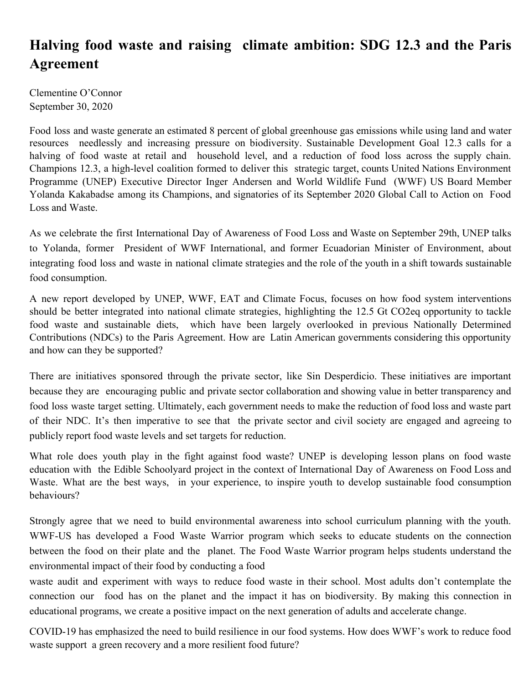## **Halving food waste and raising climate ambition: SDG 12.3 and the Paris Agreement**

Clementine O'Connor September 30, 2020

Food loss and waste generate an estimated 8 percent of global greenhouse gas emissions while using land and water resources needlessly and increasing pressure on biodiversity. Sustainable Development Goal 12.3 calls for a halving of food waste at retail and household level, and a reduction of food loss across the supply chain. Champions 12.3, a high-level coalition formed to deliver this strategic target, counts United Nations Environment Programme (UNEP) Executive Director Inger Andersen and World Wildlife Fund (WWF) US Board Member Yolanda Kakabadse among its Champions, and signatories of its September 2020 Global Call to Action on Food Loss and Waste.

As we celebrate the first International Day of Awareness of Food Loss and Waste on September 29th, UNEP talks to Yolanda, former President of WWF International, and former Ecuadorian Minister of Environment, about integrating food loss and waste in national climate strategies and the role of the youth in a shift towards sustainable food consumption.

A new report developed by UNEP, WWF, EAT and Climate Focus, focuses on how food system interventions should be better integrated into national climate strategies, highlighting the 12.5 Gt CO2eq opportunity to tackle food waste and sustainable diets, which have been largely overlooked in previous Nationally Determined Contributions (NDCs) to the Paris Agreement. How are Latin American governments considering this opportunity and how can they be supported?

There are initiatives sponsored through the private sector, like Sin Desperdicio. These initiatives are important because they are encouraging public and private sector collaboration and showing value in better transparency and food loss waste target setting. Ultimately, each government needs to make the reduction of food loss and waste part of their NDC. It's then imperative to see that the private sector and civil society are engaged and agreeing to publicly report food waste levels and set targets for reduction.

What role does youth play in the fight against food waste? UNEP is developing lesson plans on food waste education with the Edible Schoolyard project in the context of International Day of Awareness on Food Loss and Waste. What are the best ways, in your experience, to inspire youth to develop sustainable food consumption behaviours?

Strongly agree that we need to build environmental awareness into school curriculum planning with the youth. WWF-US has developed a Food Waste Warrior program which seeks to educate students on the connection between the food on their plate and the planet. The Food Waste Warrior program helps students understand the environmental impact of their food by conducting a food

waste audit and experiment with ways to reduce food waste in their school. Most adults don't contemplate the connection our food has on the planet and the impact it has on biodiversity. By making this connection in educational programs, we create a positive impact on the next generation of adults and accelerate change.

COVID-19 has emphasized the need to build resilience in our food systems. How does WWF's work to reduce food waste support a green recovery and a more resilient food future?